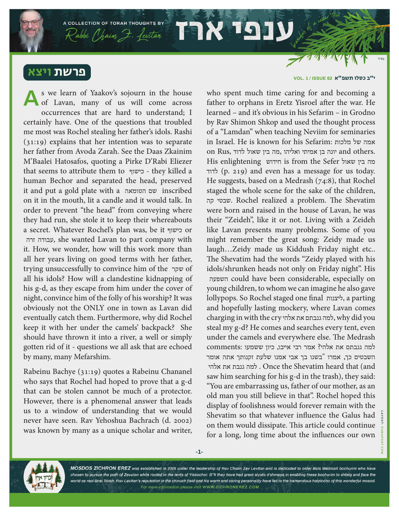פרשת ויצא

s we learn of Yaakov's sojourn in the house of Lavan, many of us will come across occurrences that are hard to understand; I certainly have. One of the questions that troubled me most was Rochel stealing her father's idols. Rashi (31:19) explains that her intention was to separate her father from Avoda Zarah. See the Daas Zkainim M'Baalei Hatosafos, quoting a Pirke D'Rabi Eliezer that seems to attribute them to כישוף - they killed a human Bechor and separated the head, preserved it and put a gold plate with a הטומאה שם inscribed on it in the mouth, lit a candle and it would talk. In order to prevent "the head" from conveying where they had run, she stole it to keep their whereabouts a secret. Whatever Rochel's plan was, be it כישוף or זרה עבודה, she wanted Lavan to part company with it. How, we wonder, how will this work more than all her years living on good terms with her father, trying unsuccessfully to convince him of the שקר of all his idols? How will a clandestine kidnapping of his g-d, as they escape from him under the cover of night, convince him of the folly of his worship? It was obviously not the ONLY one in town as Lavan did eventually catch them. Furthermore, why did Rochel keep it with her under the camels' backpack? She should have thrown it into a river, a well or simply gotten rid of it - questions we all ask that are echoed by many, many Mefarshim. **A**

A COLLECTION OF TORAH THOUGHTS BY

Rabbi Chaim 7. Levitar 1998

Rabeinu Bachye (31:19) quotes a Rabeinu Chananel who says that Rochel had hoped to prove that a g-d that can be stolen cannot be much of a protector. However, there is a phenomenal answer that leads us to a window of understanding that we would never have seen. Rav Yehoshua Bachrach (d. 2002) was known by many as a unique scholar and writer,

י**״ב כסלו תשפּ"א IISSUE 62 ו** UOL. 1 / **ISSUE 62** 

who spent much time caring for and becoming a father to orphans in Eretz Yisroel after the war. He learned – and it's obvious in his Sefarim – in Grodno by Rav Shimon Shkop and used the thought process of a "Lamdan" when teaching Neviim for seminaries in Israel. He is known for his Sefarim: מלכות של אמה on Rus, יונה בן אמיתי ואליהו ,מה בין שאול לדוד  $\,$ and others. His enlightening חידוש is from the Sefer שאול בין מה לדוד) p. 219) and even has a message for us today. He suggests, based on a Medrash (74:8), that Rochel staged the whole scene for the sake of the children, קה שבטי. Rochel realized a problem. The Shevatim were born and raised in the house of Lavan, he was their "Zeideh", like it or not. Living with a Zeideh like Lavan presents many problems. Some of you might remember the great song: Zeidy made us laugh…Zeidy made us Kiddush Friday night etc.. The Shevatim had the words "Zeidy played with his idols/shrunken heads not only on Friday night". His השפעה could have been considerable, especially on young children, to whom we can imagine he also gave lollypops. So Rochel staged one final ליצנות, a parting and hopefully lasting mockery, where Lavan comes charging in with the cry אלהי את גנבתם למה, why did you steal my g-d? He comes and searches every tent, even under the camels and everywhere else. The Medrash למה גנבתם את אלהי? אמר רבי אייבו, כיון ששמעו :comments השבטים כך, אמרו "בשנו בך אבי אמנו שלעת זקנותך אתה אומר אלהי את גנבת למה . Once the Shevatim heard that (and saw him searching for his g-d in the trash), they said: "You are embarrassing us, father of our mother, as an old man you still believe in that". Rochel hoped this display of foolishness would forever remain with the Shevatim so that whatever influence the Galus had on them would dissipate. This article could continue for a long, long time about the influences our own

**-1-**



MOSDOS ZICHRON EREZ was established in 2005 under the leadership of Rav Chaim Zev Levitan and is dedicated to older Bais Medrash bochurim who have chosen to pursue the path of Zevulon while rooted in the tents of Yissochor. B"h they have had great siyata d'shmaya in enabling these bochurim to shteig and face the world as real Bnei Torah. Rav Levitan's reputation in the chinuch field and his warm and caring personality have led to the tremendous hatzlocho of this wonderful mosod. For more information please visit WWW.ZICHRONEREZ.COM